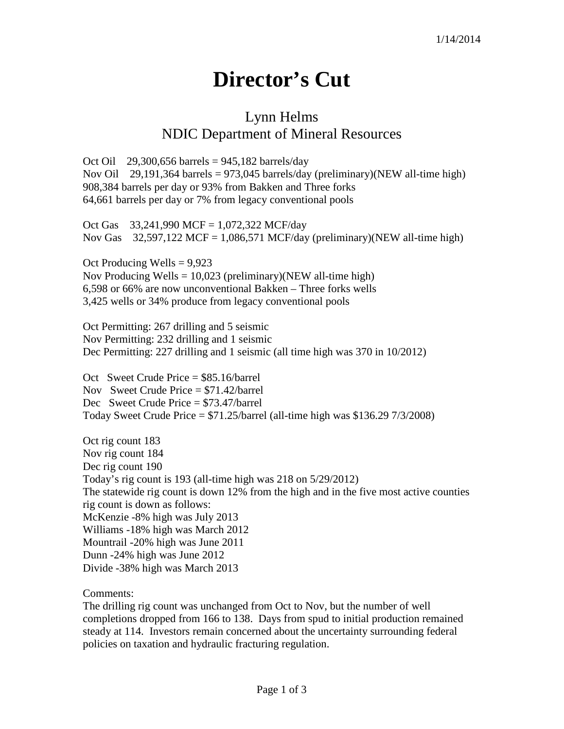## **Director's Cut**

## Lynn Helms NDIC Department of Mineral Resources

Oct Oil 29,300,656 barrels =  $945,182$  barrels/day Nov Oil 29,191,364 barrels = 973,045 barrels/day (preliminary)(NEW all-time high) 908,384 barrels per day or 93% from Bakken and Three forks 64,661 barrels per day or 7% from legacy conventional pools

Oct Gas 33,241,990 MCF = 1,072,322 MCF/day Nov Gas  $32,597,122$  MCF = 1,086,571 MCF/day (preliminary)(NEW all-time high)

Oct Producing Wells = 9,923 Nov Producing Wells =  $10,023$  (preliminary)(NEW all-time high) 6,598 or 66% are now unconventional Bakken – Three forks wells 3,425 wells or 34% produce from legacy conventional pools

Oct Permitting: 267 drilling and 5 seismic Nov Permitting: 232 drilling and 1 seismic Dec Permitting: 227 drilling and 1 seismic (all time high was 370 in 10/2012)

Oct Sweet Crude Price = \$85.16/barrel Nov Sweet Crude Price = \$71.42/barrel Dec Sweet Crude Price = \$73.47/barrel Today Sweet Crude Price  $= $71.25/b$ arrel (all-time high was \$136.29 7/3/2008)

Oct rig count 183 Nov rig count 184 Dec rig count 190 Today's rig count is 193 (all-time high was 218 on 5/29/2012) The statewide rig count is down 12% from the high and in the five most active counties rig count is down as follows: McKenzie -8% high was July 2013 Williams -18% high was March 2012 Mountrail -20% high was June 2011 Dunn -24% high was June 2012 Divide -38% high was March 2013

Comments:

The drilling rig count was unchanged from Oct to Nov, but the number of well completions dropped from 166 to 138. Days from spud to initial production remained steady at 114. Investors remain concerned about the uncertainty surrounding federal policies on taxation and hydraulic fracturing regulation.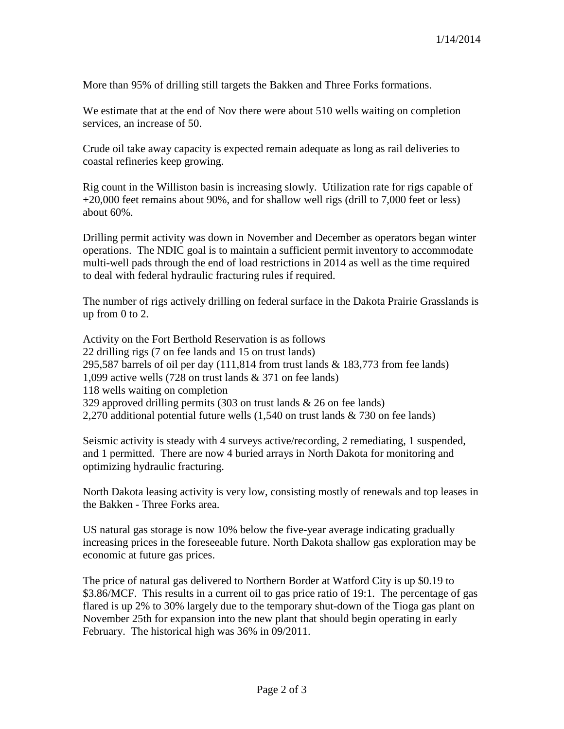More than 95% of drilling still targets the Bakken and Three Forks formations.

We estimate that at the end of Nov there were about 510 wells waiting on completion services, an increase of 50.

Crude oil take away capacity is expected remain adequate as long as rail deliveries to coastal refineries keep growing.

Rig count in the Williston basin is increasing slowly. Utilization rate for rigs capable of +20,000 feet remains about 90%, and for shallow well rigs (drill to 7,000 feet or less) about 60%.

Drilling permit activity was down in November and December as operators began winter operations. The NDIC goal is to maintain a sufficient permit inventory to accommodate multi-well pads through the end of load restrictions in 2014 as well as the time required to deal with federal hydraulic fracturing rules if required.

The number of rigs actively drilling on federal surface in the Dakota Prairie Grasslands is up from 0 to 2.

Activity on the Fort Berthold Reservation is as follows 22 drilling rigs (7 on fee lands and 15 on trust lands) 295,587 barrels of oil per day (111,814 from trust lands & 183,773 from fee lands) 1,099 active wells (728 on trust lands & 371 on fee lands) 118 wells waiting on completion 329 approved drilling permits (303 on trust lands & 26 on fee lands) 2,270 additional potential future wells (1,540 on trust lands & 730 on fee lands)

Seismic activity is steady with 4 surveys active/recording, 2 remediating, 1 suspended, and 1 permitted. There are now 4 buried arrays in North Dakota for monitoring and optimizing hydraulic fracturing.

North Dakota leasing activity is very low, consisting mostly of renewals and top leases in the Bakken - Three Forks area.

US natural gas storage is now 10% below the five-year average indicating gradually increasing prices in the foreseeable future. North Dakota shallow gas exploration may be economic at future gas prices.

The price of natural gas delivered to Northern Border at Watford City is up \$0.19 to \$3.86/MCF. This results in a current oil to gas price ratio of 19:1. The percentage of gas flared is up 2% to 30% largely due to the temporary shut-down of the Tioga gas plant on November 25th for expansion into the new plant that should begin operating in early February. The historical high was 36% in 09/2011.